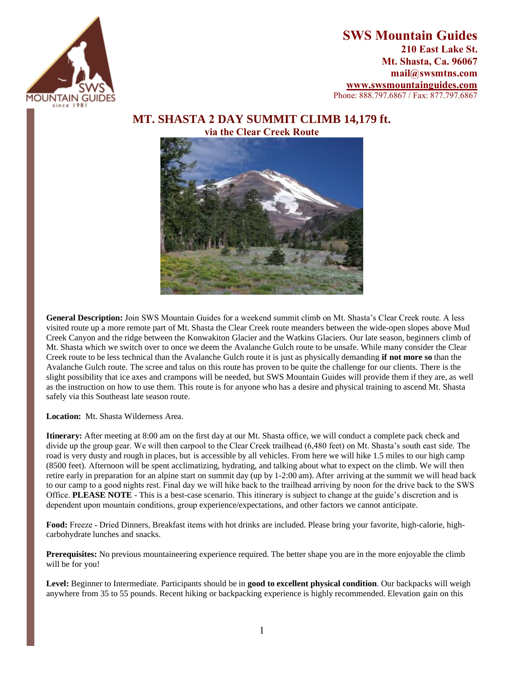

## **SWS Mountain Guides 210 East Lake St. Mt. Shasta, Ca. 96067 mail@swsmtns.com [www.swsmountainguides.com](http://www.swsmountainguides.com/)** Phone: 888.797.6867 / Fax: 877.797.6867

## **MT. SHASTA 2 DAY SUMMIT CLIMB 14,179 ft. via the Clear Creek Route**



**General Description:** Join SWS Mountain Guides for a weekend summit climb on Mt. Shasta's Clear Creek route. A less visited route up a more remote part of Mt. Shasta the Clear Creek route meanders between the wide-open slopes above Mud Creek Canyon and the ridge between the Konwakiton Glacier and the Watkins Glaciers. Our late season, beginners climb of Mt. Shasta which we switch over to once we deem the Avalanche Gulch route to be unsafe. While many consider the Clear Creek route to be less technical than the Avalanche Gulch route it is just as physically demanding **if not more so** than the Avalanche Gulch route. The scree and talus on this route has proven to be quite the challenge for our clients. There is the slight possibility that ice axes and crampons will be needed, but SWS Mountain Guides will provide them if they are, as well as the instruction on how to use them. This route is for anyone who has a desire and physical training to ascend Mt. Shasta safely via this Southeast late season route.

**Location:** Mt. Shasta Wilderness Area.

**Itinerary:** After meeting at 8:00 am on the first day at our Mt. Shasta office, we will conduct a complete pack check and divide up the group gear. We will then carpool to the Clear Creek trailhead (6,480 feet) on Mt. Shasta's south east side. The road is very dusty and rough in places, but is accessible by all vehicles. From here we will hike 1.5 miles to our high camp (8500 feet). Afternoon will be spent acclimatizing, hydrating, and talking about what to expect on the climb. We will then retire early in preparation for an alpine start on summit day (up by 1-2:00 am). After arriving at the summit we will head back to our camp to a good nights rest. Final day we will hike back to the trailhead arriving by noon for the drive back to the SWS Office. **PLEASE NOTE** - This is a best-case scenario. This itinerary is subject to change at the guide's discretion and is dependent upon mountain conditions, group experience/expectations, and other factors we cannot anticipate.

**Food:** Freeze - Dried Dinners, Breakfast items with hot drinks are included. Please bring your favorite, high-calorie, highcarbohydrate lunches and snacks.

**Prerequisites:** No previous mountaineering experience required. The better shape you are in the more enjoyable the climb will be for you!

**Level:** Beginner to Intermediate. Participants should be in **good to excellent physical condition**. Our backpacks will weigh anywhere from 35 to 55 pounds. Recent hiking or backpacking experience is highly recommended. Elevation gain on this